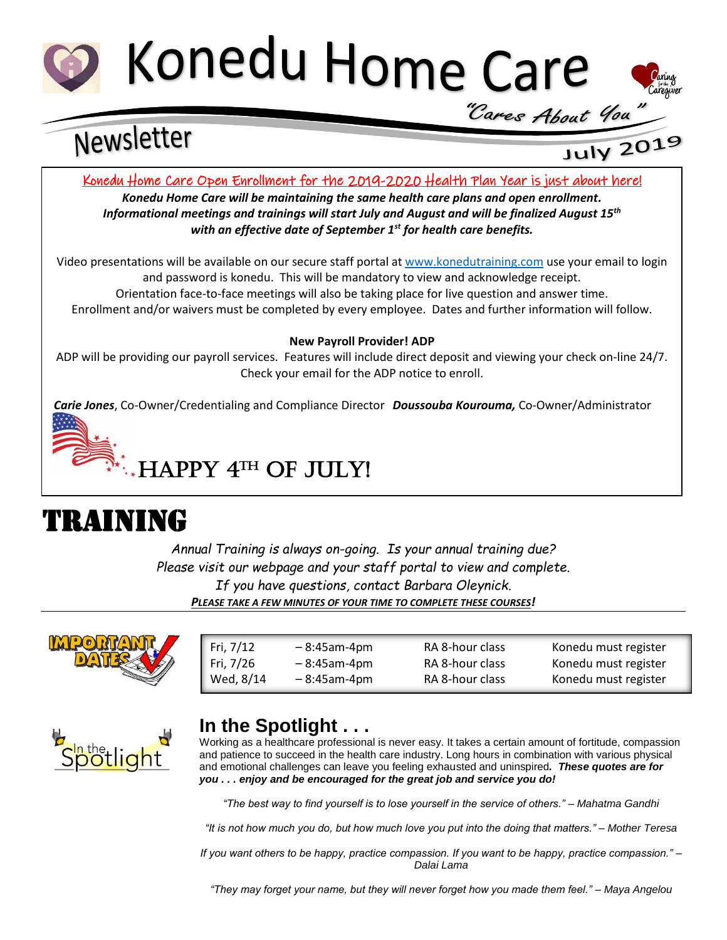



# Newsletter

## July 2019

Konedu Home Care Open Enrollment for the 2019-2020 Health Plan Year is just about here!

*Konedu Home Care will be maintaining the same health care plans and open enrollment. Informational meetings and trainings will start July and August and will be finalized August 15th with an effective date of September 1st for health care benefits.*

Video presentations will be available on our secure staff portal at [www.konedutraining.com](http://www.konedutraining.com/) use your email to login and password is konedu. This will be mandatory to view and acknowledge receipt. Orientation face-to-face meetings will also be taking place for live question and answer time. Enrollment and/or waivers must be completed by every employee. Dates and further information will follow.

#### **New Payroll Provider! ADP**

ADP will be providing our payroll services. Features will include direct deposit and viewing your check on-line 24/7. Check your email for the ADP notice to enroll.

*Carie Jones*, Co-Owner/Credentialing and Compliance Director *Doussouba Kourouma,* Co-Owner/Administrator

## $\mathbb{R}^*$ . HAPPY  $4^{\text{th}}$  OF JULY!

## TRAINING

*Annual Training is always on-going. Is your annual training due? Please visit our webpage and your staff portal to view and complete. If you have questions, contact Barbara Oleynick. PLEASE TAKE A FEW MINUTES OF YOUR TIME TO COMPLETE THESE COURSES!*

 $\overline{\phantom{a}}$  , and the state  $\overline{\phantom{a}}$  and  $\overline{\phantom{a}}$ 



| Fri, 7/12 | $-8:45$ am-4pm | RA 8-hour class | Konedu must register |
|-----------|----------------|-----------------|----------------------|
| Fri, 7/26 | $-8:45$ am-4pm | RA 8-hour class | Konedu must register |
| Wed, 8/14 | $-8:45$ am-4pm | RA 8-hour class | Konedu must register |



### **In the Spotlight . . .**

Working as a healthcare professional is never easy. It takes a certain amount of fortitude, compassion and patience to succeed in the health care industry. Long hours in combination with various physical and emotional challenges can leave you feeling exhausted and uninspired*. These quotes are for you . . . enjoy and be encouraged for the great job and service you do!*

*"The best way to find yourself is to lose yourself in the service of others." – Mahatma Gandhi*

*"It is not how much you do, but how much love you put into the doing that matters." – Mother Teresa*

*If you want others to be happy, practice compassion. If you want to be happy, practice compassion." – Dalai Lama*

*"They may forget your name, but they will never forget how you made them feel." – Maya Angelou*